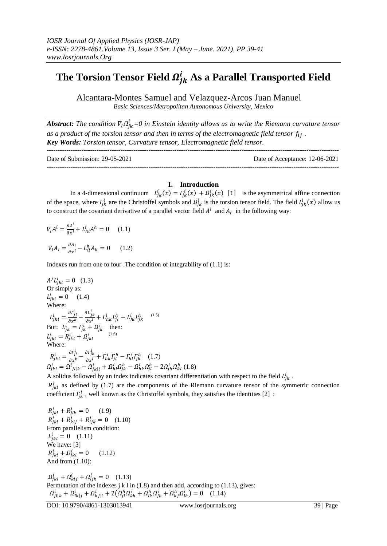# The Torsion Tensor Field  $\boldsymbol{Q}_{ik}^{i}$  As a Parallel Transported Field

Alcantara-Montes Samuel and Velazquez-Arcos Juan Manuel *Basic Sciences/Metropolitan Autonomous University, Mexico* 

*Abstract: The condition*  $\nabla_l \Omega^i_{ik} = 0$  in Einstein identity allows us to write the Riemann curvature tensor as a product of the torsion tensor and then in terms of the electromagnetic field tensor  $f_{ij}$ . *Key Words: Torsion tensor, Curvature tensor, Electromagnetic field tensor.*

| Date of Submission: 29-05-2021 | Date of Acceptance: 12-06-2021 |
|--------------------------------|--------------------------------|
|                                |                                |

## **I. Introduction**

In a 4-dimensional continuum  $L_{ik}^{i}(x) = \Gamma_{ik}^{i}(x) + \Omega_{ik}^{i}(x)$  [1] is the asymmetrical affine connection of the space, where  $\Gamma_{ik}^i$  are the Christoffel symbols and  $\Omega_{ik}^i$  is the torsion tensor field. The field  $L_{ik}^i(x)$  allow us to construct the covariant derivative of a parallel vector field  $A^i$  and  $A_i$  in the following way:

$$
\nabla_l A^i = \frac{\partial A^i}{\partial x^l} + L^i_{hl} A^h = 0 \quad (1.1)
$$
  

$$
\nabla_l A_i = \frac{\partial A_i}{\partial x^l} - L^h_{il} A_h = 0 \quad (1.2)
$$

Indexes run from one to four .The condition of integrability of  $(1.1)$  is:

 $A^{j}L_{ikl}^{i}=0$  (1.3) Or simply as:  $L_{ikl}^{i} = 0$  (1.4) Where:  $L_{ikl}^{i} = \frac{\partial L_{j}^{i}}{\partial m}$  $\partial x^k$  $\partial \mathrm{L}^i_j$  $\frac{\partial L_{jk}}{\partial x^l} + L_{hk}^i L_{jl}^h - L_{hl}^i L_{jk}^h$  (1.5) But:  $L_{ik}^i = \Gamma_{ik}^i + \Omega_{ik}^i$  then: L  $i_{1} = R^{i}_{1} + Q^{i}_{1}$  (1.6) Where: i  $-\frac{\partial \Gamma_j^i}{\partial x_i}$  $\partial x^k$  $\partial \varGamma_i^i$  $\frac{\partial^2 J_{jk}}{\partial x^l} + \Gamma^i_{hk} \Gamma^h_{jl} - \Gamma^i_{hl} \Gamma^h_{jk}$  (1.7)  $\Omega_{jkl}^{i} = \Omega_{jkl|k}^{i} - \Omega_{jkl|l}^{i} + \Omega_{hl}^{i} \Omega_{jk}^{h} - \Omega_{hk}^{i} \Omega_{jl}^{h} - 2\Omega_{jh}^{i} \Omega_{kl}^{h}$  (1.8)

A solidus followed by an index indicates covariant differentiation with respect to the field  $L_{ik}^{i}$ .

 $R_{ikl}^{i}$  as defined by (1.7) are the components of the Riemann curvature tensor of the symmetric connection coefficient  $\Gamma_{ik}^{i}$ , well known as the Christoffel symbols, they satisfies the identities [2] :

 $R_{ikl}^i + R_{ilk}^i = 0$  (1.9)  $R_{ikl}^i + R_{kli}^i + R_{lik}^i = 0$  (1.10) From parallelism condition:  $L_{ikl}^{i} = 0$  (1.11) We have: [3]  $R_i^i$  (1.12) And from (1.10):  $\Omega_{ikl}^i + \Omega_{kli}^i + \Omega_{lik}^i = 0$  (1.13) Permutation of the indexes j k l in (1.8) and then add, according to (1.13), gives:

 $\Omega_{i l | k}^{i} + \Omega_{l k | i}^{i} + \Omega_{k l | l}^{i} + 2(\Omega_{l l}^{h} \Omega_{k h}^{i} + \Omega_{l k}^{h} \Omega_{l h}^{i} + \Omega_{k i}^{h} \Omega_{l h}^{i}) = 0$  (1.14)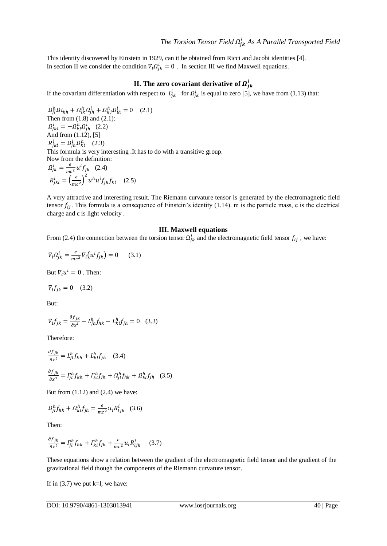This identity discovered by Einstein in 1929, can it be obtained from Ricci and Jacobi identities [4]. In section II we consider the condition  $\nabla_l \Omega_{ik}^i = 0$ . In section III we find Maxwell equations.

## **II. The zero covariant derivative of**  $\Omega_i^i$

If the covariant differentiation with respect to  $L_{ik}^i$  for  $\Omega_{ik}^i$  is equal to zero [5], we have from (1.13) that:

 $\Omega_{il}^h \Omega i_{kh} + \Omega_{lk}^h \Omega_{ih}^i + \Omega_{ki}^h \Omega_{lh}^i = 0$  (2.1) Then from  $(1.8)$  and  $(2.1)$ :  $\Omega_{ikl}^i = -\Omega_{kl}^h \Omega_{ih}^i$  (2.2) And from  $(1.12)$ ,  $[5]$  $R_{ikl}^i = \Omega_{ih}^i \Omega_{kl}^h$  (2.3) This formula is very interesting .It has to do with a transitive group. Now from the definition:  $\Omega_{ik}^i = \frac{e}{mc}$  $\frac{e}{mc^2}u^if_{jk}$  (2.4)  $R_{ikl}^i = \left(\frac{e}{m}\right)$  $\left(\frac{e}{mc^2}\right)^2 u^h u^i f_{jh} f_{kl}$  (2.5)

A very attractive and interesting result. The Riemann curvature tensor is generated by the electromagnetic field tensor  $f_{ij}$ . This formula is a consequence of Einstein's identity (1.14). m is the particle mass, e is the electrical charge and c is light velocity .

## **III. Maxwell equations**

From (2.4) the connection between the torsion tensor  $\Omega_{ik}^i$  and the electromagnetic field tensor  $f_{ij}$ , we have:

$$
\nabla_l \Omega^i_{jk} = \frac{e}{mc^2} \nabla_l \left( u^i f_{jk} \right) = 0 \qquad (3.1)
$$

But  $\nabla_l u^i = 0$ . Then:

$$
\nabla_l f_{ik} = 0 \quad (3.2)
$$

But:

$$
\nabla_l f_{jk} = \frac{\partial f_{jk}}{\partial x^l} - L_{jh}^h f_{hk} - L_{kl}^h f_{jh} = 0 \quad (3.3)
$$

Therefore:

$$
\frac{\partial f_{jk}}{\partial x^l} = L_{jl}^h f_{kh} + L_{kl}^h f_{jh} \quad (3.4)
$$

$$
\frac{\partial f_{jk}}{\partial x^1} = \Gamma_{jl}^h f_{kh} + \Gamma_{kl}^h f_{jh} + \Omega_{jl}^h f_{hk} + \Omega_{kl}^h f_{jh} \quad (3.5)
$$

But from  $(1.12)$  and  $(2.4)$  we have:

$$
\Omega_{jl}^h f_{hk} + \Omega_{kl}^h f_{jh} = \frac{e}{mc^2} u_i R_{ljk}^i \quad (3.6)
$$

Then:

$$
\frac{\partial f_{jk}}{\partial x^l} = \Gamma_{jl}^h f_{hk} + \Gamma_{kl}^h f_{jh} + \frac{e}{mc^2} u_i R_{ljk}^i \quad (3.7)
$$

These equations show a relation between the gradient of the electromagnetic field tensor and the gradient of the gravitational field though the components of the Riemann curvature tensor.

If in  $(3.7)$  we put k=l, we have: